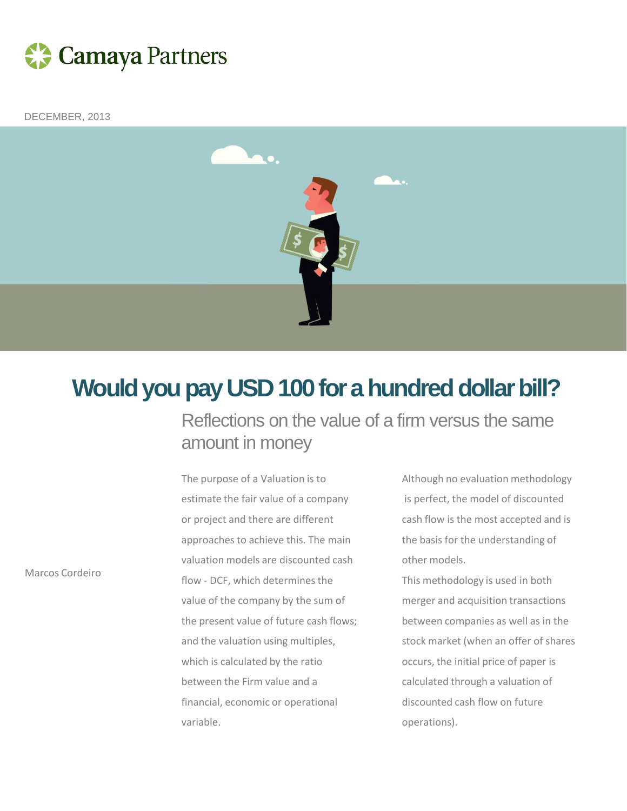

DECEMBER, 2013



## **Would you pay USD 100 for a hundred dollar bill?**

Reflections on the value of a firm versus the same amount in money

The purpose of a Valuation is to estimate the fair value of a company or project and there are different approaches to achieve this. The main valuation models are discounted cash flow - DCF, which determines the value of the company by the sum of the present value of future cash flows; and the valuation using multiples, which is calculated by the ratio between the Firm value and a financial, economic or operational variable.

Although no evaluation methodology is perfect, the model of discounted cash flow is the most accepted and is the basis for the understanding of other models.

This methodology is used in both merger and acquisition transactions between companies as well as in the stock market (when an offer of shares occurs, the initial price of paper is calculated through a valuation of discounted cash flow on future operations).

Marcos Cordeiro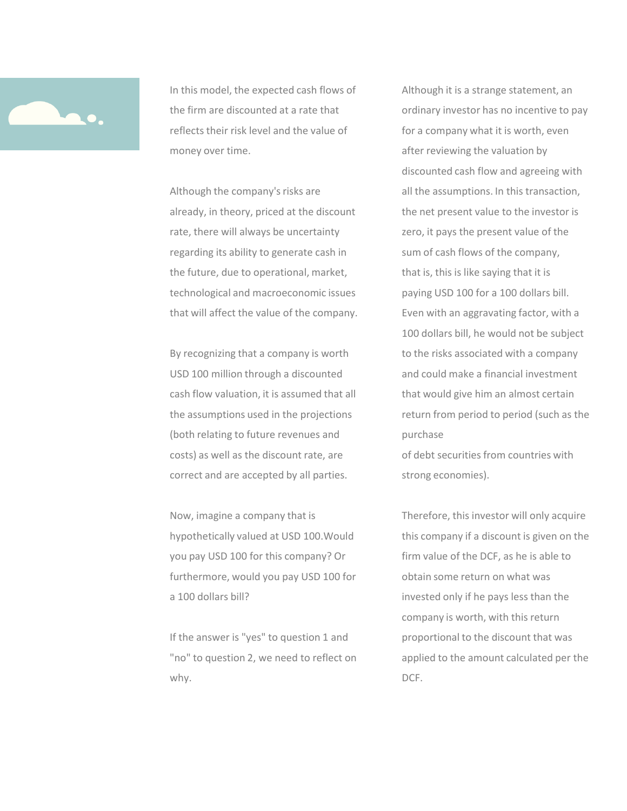

In this model, the expected cash flows of the firm are discounted at a rate that reflects their risk level and the value of money over time.

Although the company's risks are already, in theory, priced at the discount rate, there will always be uncertainty regarding its ability to generate cash in the future, due to operational, market, technological and macroeconomic issues that will affect the value of the company.

By recognizing that a company is worth USD 100 million through a discounted cash flow valuation, it is assumed that all the assumptions used in the projections (both relating to future revenues and costs) as well as the discount rate, are correct and are accepted by all parties.

Now, imagine a company that is hypothetically valued at USD 100.Would you pay USD 100 for this company? Or furthermore, would you pay USD 100 for a 100 dollars bill?

If the answer is "yes" to question 1 and "no" to question 2, we need to reflect on why.

Although it is a strange statement, an ordinary investor has no incentive to pay for a company what it is worth, even after reviewing the valuation by discounted cash flow and agreeing with all the assumptions. In this transaction, the net present value to the investor is zero, it pays the present value of the sum of cash flows of the company, that is, this is like saying that it is paying USD 100 for a 100 dollars bill. Even with an aggravating factor, with a 100 dollars bill, he would not be subject to the risks associated with a company and could make a financial investment that would give him an almost certain return from period to period (such as the purchase

of debt securities from countries with strong economies).

Therefore, this investor will only acquire this company if a discount is given on the firm value of the DCF, as he is able to obtain some return on what was invested only if he pays less than the company is worth, with this return proportional to the discount that was applied to the amount calculated per the DCF.